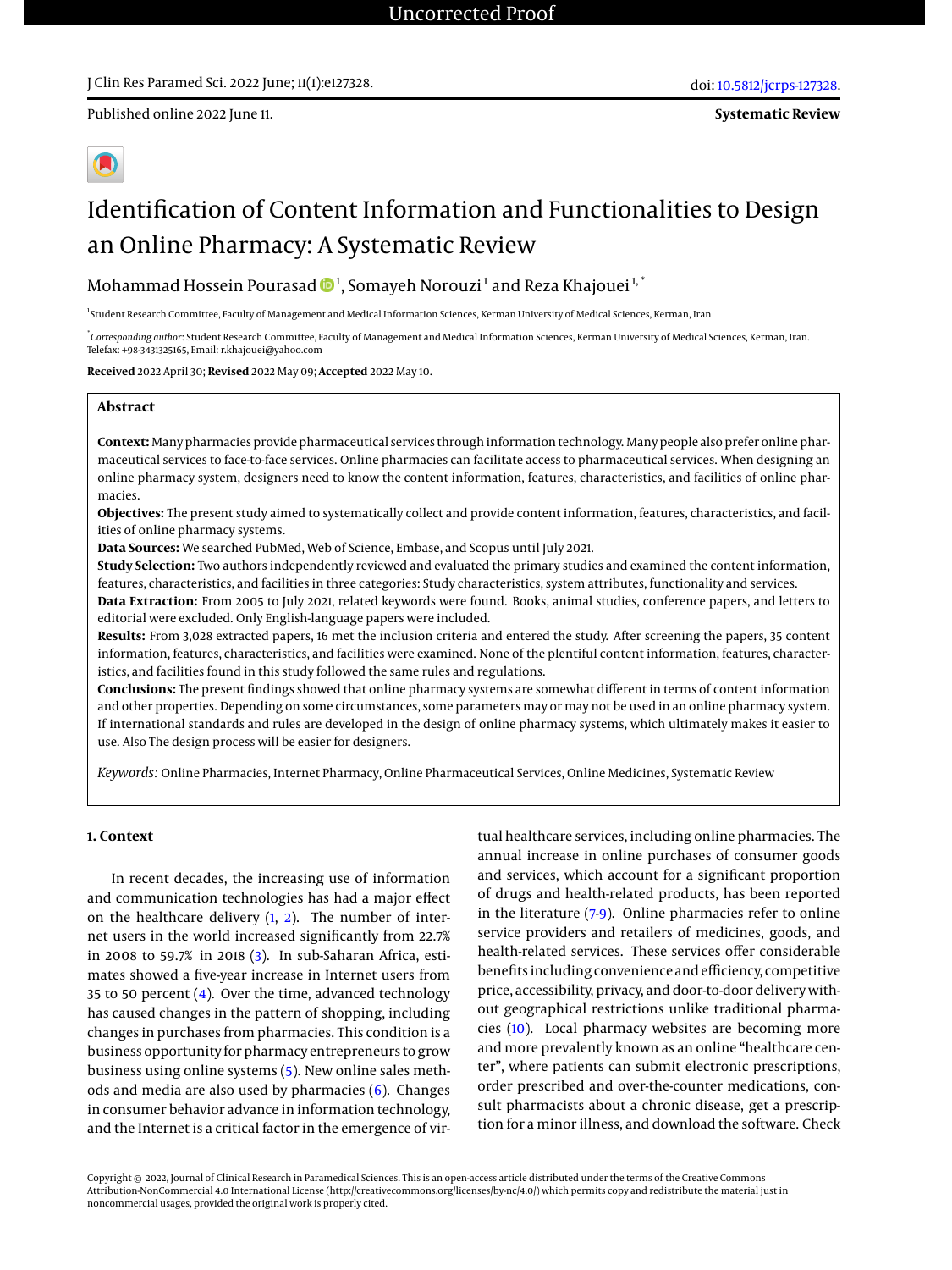Published online 2022 June 11.

# Identification of Content Information and Functionalities to Design an Online Pharmacy: A Systematic Review

Mohammad Hossein Pourasad  $\mathbf{\Phi}^1$ , Somayeh Norouzi $^1$  and Reza Khajouei $^{1,1}$ 

<sup>1</sup>Student Research Committee, Faculty of Management and Medical Information Sciences, Kerman University of Medical Sciences, Kerman, Iran

\* *Corresponding author*: Student Research Committee, Faculty of Management and Medical Information Sciences, Kerman University of Medical Sciences, Kerman, Iran. Telefax: +98-3431325165, Email: r.khajouei@yahoo.com

**Received** 2022 April 30; **Revised** 2022 May 09; **Accepted** 2022 May 10.

# **Abstract**

**Context:** Many pharmacies provide pharmaceutical services through information technology. Many people also prefer online pharmaceutical services to face-to-face services. Online pharmacies can facilitate access to pharmaceutical services. When designing an online pharmacy system, designers need to know the content information, features, characteristics, and facilities of online pharmacies.

**Objectives:** The present study aimed to systematically collect and provide content information, features, characteristics, and facilities of online pharmacy systems.

**Data Sources:** We searched PubMed, Web of Science, Embase, and Scopus until July 2021.

**Study Selection:** Two authors independently reviewed and evaluated the primary studies and examined the content information, features, characteristics, and facilities in three categories: Study characteristics, system attributes, functionality and services.

**Data Extraction:** From 2005 to July 2021, related keywords were found. Books, animal studies, conference papers, and letters to editorial were excluded. Only English-language papers were included.

**Results:** From 3,028 extracted papers, 16 met the inclusion criteria and entered the study. After screening the papers, 35 content information, features, characteristics, and facilities were examined. None of the plentiful content information, features, characteristics, and facilities found in this study followed the same rules and regulations.

**Conclusions:** The present findings showed that online pharmacy systems are somewhat different in terms of content information and other properties. Depending on some circumstances, some parameters may or may not be used in an online pharmacy system. If international standards and rules are developed in the design of online pharmacy systems, which ultimately makes it easier to use. Also The design process will be easier for designers.

*Keywords:* Online Pharmacies, Internet Pharmacy, Online Pharmaceutical Services, Online Medicines, Systematic Review

#### **1. Context**

In recent decades, the increasing use of information and communication technologies has had a major effect on the healthcare delivery  $(1, 2)$  $(1, 2)$  $(1, 2)$ . The number of internet users in the world increased significantly from 22.7% in 2008 to 59.7% in 2018 [\(3\)](#page-5-2). In sub-Saharan Africa, estimates showed a five-year increase in Internet users from 35 to 50 percent [\(4\)](#page-5-3). Over the time, advanced technology has caused changes in the pattern of shopping, including changes in purchases from pharmacies. This condition is a business opportunity for pharmacy entrepreneurs to grow business using online systems [\(5\)](#page-6-0). New online sales methods and media are also used by pharmacies  $(6)$ . Changes in consumer behavior advance in information technology, and the Internet is a critical factor in the emergence of vir-

tual healthcare services, including online pharmacies. The annual increase in online purchases of consumer goods and services, which account for a significant proportion of drugs and health-related products, has been reported in the literature [\(7](#page-6-2)[-9\)](#page-6-3). Online pharmacies refer to online service providers and retailers of medicines, goods, and health-related services. These services offer considerable benefits including convenience and efficiency, competitive price, accessibility, privacy, and door-to-door delivery without geographical restrictions unlike traditional pharmacies [\(10\)](#page-6-4). Local pharmacy websites are becoming more and more prevalently known as an online "healthcare center", where patients can submit electronic prescriptions, order prescribed and over-the-counter medications, consult pharmacists about a chronic disease, get a prescription for a minor illness, and download the software. Check

Copyright © 2022, Journal of Clinical Research in Paramedical Sciences. This is an open-access article distributed under the terms of the Creative Commons Attribution-NonCommercial 4.0 International License (http://creativecommons.org/licenses/by-nc/4.0/) which permits copy and redistribute the material just in noncommercial usages, provided the original work is properly cited.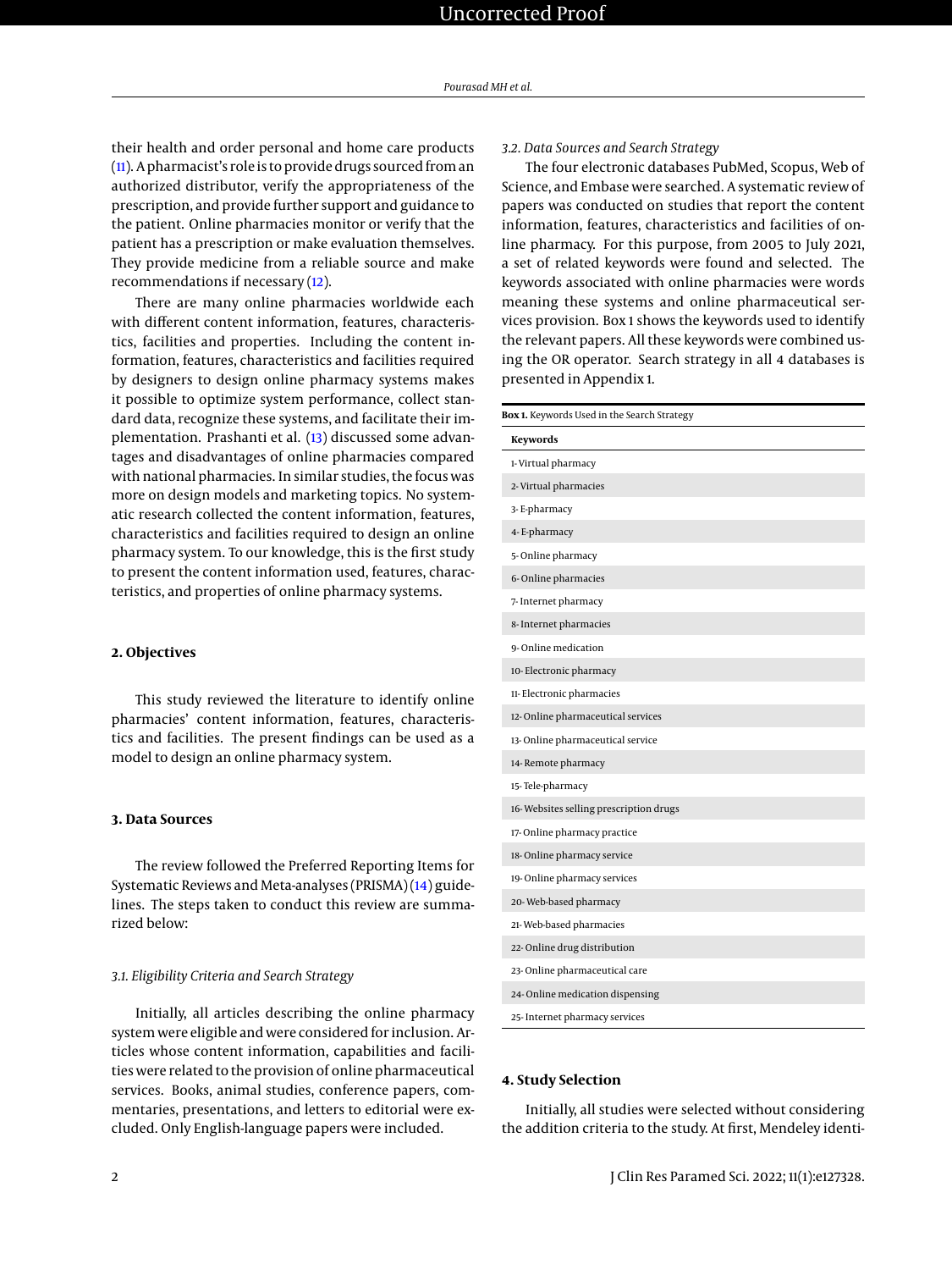their health and order personal and home care products [\(11\)](#page-6-5). A pharmacist's role is to provide drugs sourced from an authorized distributor, verify the appropriateness of the prescription, and provide further support and guidance to the patient. Online pharmacies monitor or verify that the patient has a prescription or make evaluation themselves. They provide medicine from a reliable source and make recommendations if necessary [\(12\)](#page-6-6).

There are many online pharmacies worldwide each with different content information, features, characteristics, facilities and properties. Including the content information, features, characteristics and facilities required by designers to design online pharmacy systems makes it possible to optimize system performance, collect standard data, recognize these systems, and facilitate their implementation. Prashanti et al. [\(13\)](#page-6-7) discussed some advantages and disadvantages of online pharmacies compared with national pharmacies. In similar studies, the focus was more on design models and marketing topics. No systematic research collected the content information, features, characteristics and facilities required to design an online pharmacy system. To our knowledge, this is the first study to present the content information used, features, characteristics, and properties of online pharmacy systems.

# **2. Objectives**

This study reviewed the literature to identify online pharmacies' content information, features, characteristics and facilities. The present findings can be used as a model to design an online pharmacy system.

### **3. Data Sources**

The review followed the Preferred Reporting Items for Systematic Reviews and Meta-analyses (PRISMA) [\(14\)](#page-6-8) guidelines. The steps taken to conduct this review are summarized below:

#### *3.1. Eligibility Criteria and Search Strategy*

Initially, all articles describing the online pharmacy system were eligible and were considered for inclusion. Articles whose content information, capabilities and facilities were related to the provision of online pharmaceutical services. Books, animal studies, conference papers, commentaries, presentations, and letters to editorial were excluded. Only English-language papers were included.

# *3.2. Data Sources and Search Strategy*

The four electronic databases PubMed, Scopus, Web of Science, and Embase were searched. A systematic review of papers was conducted on studies that report the content information, features, characteristics and facilities of online pharmacy. For this purpose, from 2005 to July 2021, a set of related keywords were found and selected. The keywords associated with online pharmacies were words meaning these systems and online pharmaceutical services provision. Box 1 shows the keywords used to identify the relevant papers. All these keywords were combined using the OR operator. Search strategy in all 4 databases is presented in Appendix 1.

<span id="page-1-0"></span>

| Box 1. Keywords Used in the Search Strategy |  |  |  |  |  |  |
|---------------------------------------------|--|--|--|--|--|--|
| Keywords                                    |  |  |  |  |  |  |
| 1-Virtual pharmacy                          |  |  |  |  |  |  |
| 2- Virtual pharmacies                       |  |  |  |  |  |  |
| 3-E-pharmacy                                |  |  |  |  |  |  |
| 4-E-pharmacy                                |  |  |  |  |  |  |
| 5-Online pharmacy                           |  |  |  |  |  |  |
| 6-Online pharmacies                         |  |  |  |  |  |  |
| 7- Internet pharmacy                        |  |  |  |  |  |  |
| 8- Internet pharmacies                      |  |  |  |  |  |  |
| 9-Online medication                         |  |  |  |  |  |  |
| 10- Electronic pharmacy                     |  |  |  |  |  |  |
| 11- Electronic pharmacies                   |  |  |  |  |  |  |
| 12-Online pharmaceutical services           |  |  |  |  |  |  |
| 13-Online pharmaceutical service            |  |  |  |  |  |  |
| 14-Remote pharmacy                          |  |  |  |  |  |  |
| 15-Tele-pharmacy                            |  |  |  |  |  |  |
| 16-Websites selling prescription drugs      |  |  |  |  |  |  |
| 17-Online pharmacy practice                 |  |  |  |  |  |  |
| 18-Online pharmacy service                  |  |  |  |  |  |  |
| 19-Online pharmacy services                 |  |  |  |  |  |  |
| 20-Web-based pharmacy                       |  |  |  |  |  |  |
| 21-Web-based pharmacies                     |  |  |  |  |  |  |
| 22-Online drug distribution                 |  |  |  |  |  |  |
| 23-Online pharmaceutical care               |  |  |  |  |  |  |
| 24- Online medication dispensing            |  |  |  |  |  |  |
| 25- Internet pharmacy services              |  |  |  |  |  |  |

#### **4. Study Selection**

Initially, all studies were selected without considering the addition criteria to the study. At first, Mendeley identi-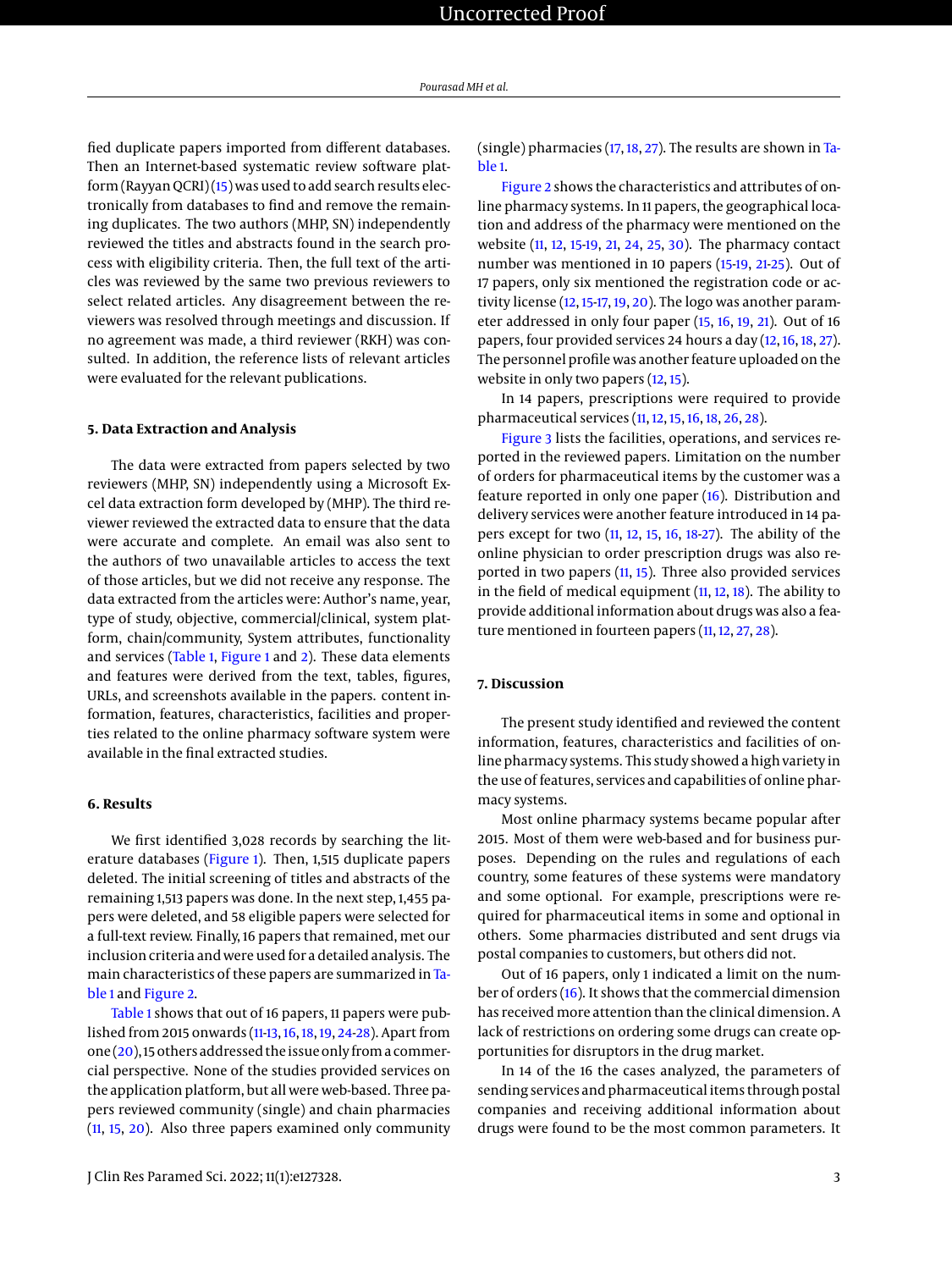fied duplicate papers imported from different databases. Then an Internet-based systematic review software platform (Rayyan QCRI) [\(15\)](#page-6-9) was used to add search results electronically from databases to find and remove the remaining duplicates. The two authors (MHP, SN) independently reviewed the titles and abstracts found in the search process with eligibility criteria. Then, the full text of the articles was reviewed by the same two previous reviewers to select related articles. Any disagreement between the reviewers was resolved through meetings and discussion. If no agreement was made, a third reviewer (RKH) was consulted. In addition, the reference lists of relevant articles were evaluated for the relevant publications.

# **5. Data Extraction and Analysis**

The data were extracted from papers selected by two reviewers (MHP, SN) independently using a Microsoft Excel data extraction form developed by (MHP). The third reviewer reviewed the extracted data to ensure that the data were accurate and complete. An email was also sent to the authors of two unavailable articles to access the text of those articles, but we did not receive any response. The data extracted from the articles were: Author's name, year, type of study, objective, commercial/clinical, system platform, chain/community, System attributes, functionality and services [\(Table 1,](#page-1-0) [Figure 1](#page-3-0) and [2\)](#page-4-0). These data elements and features were derived from the text, tables, figures, URLs, and screenshots available in the papers. content information, features, characteristics, facilities and properties related to the online pharmacy software system were available in the final extracted studies.

# **6. Results**

We first identified 3,028 records by searching the literature databases [\(Figure 1\)](#page-3-0). Then, 1,515 duplicate papers deleted. The initial screening of titles and abstracts of the remaining 1,513 papers was done. In the next step, 1,455 papers were deleted, and 58 eligible papers were selected for a full-text review. Finally, 16 papers that remained, met our inclusion criteria and were used for a detailed analysis. The main characteristics of these papers are summarized in [Ta](#page-1-0)[ble 1](#page-1-0) and [Figure 2.](#page-4-0)

[Table 1](#page-1-0) shows that out of 16 papers, 11 papers were published from 2015 onwards [\(11](#page-6-5)[-13,](#page-6-7) [16,](#page-6-10) [18,](#page-6-11) [19,](#page-6-12) [24-](#page-6-13)[28\)](#page-6-14). Apart from one [\(20\)](#page-6-15), 15 others addressed the issue only from a commercial perspective. None of the studies provided services on the application platform, but all were web-based. Three papers reviewed community (single) and chain pharmacies [\(11,](#page-6-5) [15,](#page-6-9) [20\)](#page-6-15). Also three papers examined only community (single) pharmacies [\(17,](#page-6-16) [18,](#page-6-11) [27\)](#page-6-17). The results are shown in [Ta](#page-1-0)[ble 1.](#page-1-0)

[Figure 2](#page-4-0) shows the characteristics and attributes of online pharmacy systems. In 11 papers, the geographical location and address of the pharmacy were mentioned on the website [\(11,](#page-6-5) [12,](#page-6-6) [15-](#page-6-9)[19,](#page-6-12) [21,](#page-6-18) [24,](#page-6-13) [25,](#page-6-19) [30\)](#page-6-20). The pharmacy contact number was mentioned in 10 papers [\(15](#page-6-9)[-19,](#page-6-12) [21](#page-6-18)[-25\)](#page-6-19). Out of 17 papers, only six mentioned the registration code or ac-tivity license [\(12,](#page-6-6) [15-](#page-6-9)[17,](#page-6-16) [19,](#page-6-12) [20\)](#page-6-15). The logo was another parameter addressed in only four paper [\(15,](#page-6-9) [16,](#page-6-10) [19,](#page-6-12) [21\)](#page-6-18). Out of 16 papers, four provided services 24 hours a day [\(12,](#page-6-6) [16,](#page-6-10) [18,](#page-6-11) [27\)](#page-6-17). The personnel profile was another feature uploaded on the website in only two papers [\(12,](#page-6-6) [15\)](#page-6-9).

In 14 papers, prescriptions were required to provide pharmaceutical services [\(11,](#page-6-5) [12,](#page-6-6) [15,](#page-6-9) [16,](#page-6-10) [18,](#page-6-11) [26,](#page-6-21) [28\)](#page-6-14).

[Figure 3](#page-5-4) lists the facilities, operations, and services reported in the reviewed papers. Limitation on the number of orders for pharmaceutical items by the customer was a feature reported in only one paper [\(16\)](#page-6-10). Distribution and delivery services were another feature introduced in 14 papers except for two [\(11,](#page-6-5) [12,](#page-6-6) [15,](#page-6-9) [16,](#page-6-10) [18](#page-6-11)[-27\)](#page-6-17). The ability of the online physician to order prescription drugs was also reported in two papers [\(11,](#page-6-5) [15\)](#page-6-9). Three also provided services in the field of medical equipment  $(11, 12, 18)$  $(11, 12, 18)$  $(11, 12, 18)$  $(11, 12, 18)$  $(11, 12, 18)$ . The ability to provide additional information about drugs was also a fea-ture mentioned in fourteen papers [\(11,](#page-6-5) [12,](#page-6-6) [27,](#page-6-17) [28\)](#page-6-14).

# **7. Discussion**

The present study identified and reviewed the content information, features, characteristics and facilities of online pharmacy systems. This study showed a high variety in the use of features, services and capabilities of online pharmacy systems.

Most online pharmacy systems became popular after 2015. Most of them were web-based and for business purposes. Depending on the rules and regulations of each country, some features of these systems were mandatory and some optional. For example, prescriptions were required for pharmaceutical items in some and optional in others. Some pharmacies distributed and sent drugs via postal companies to customers, but others did not.

Out of 16 papers, only 1 indicated a limit on the number of orders [\(16\)](#page-6-10). It shows that the commercial dimension has received more attention than the clinical dimension. A lack of restrictions on ordering some drugs can create opportunities for disruptors in the drug market.

In 14 of the 16 the cases analyzed, the parameters of sending services and pharmaceutical items through postal companies and receiving additional information about drugs were found to be the most common parameters. It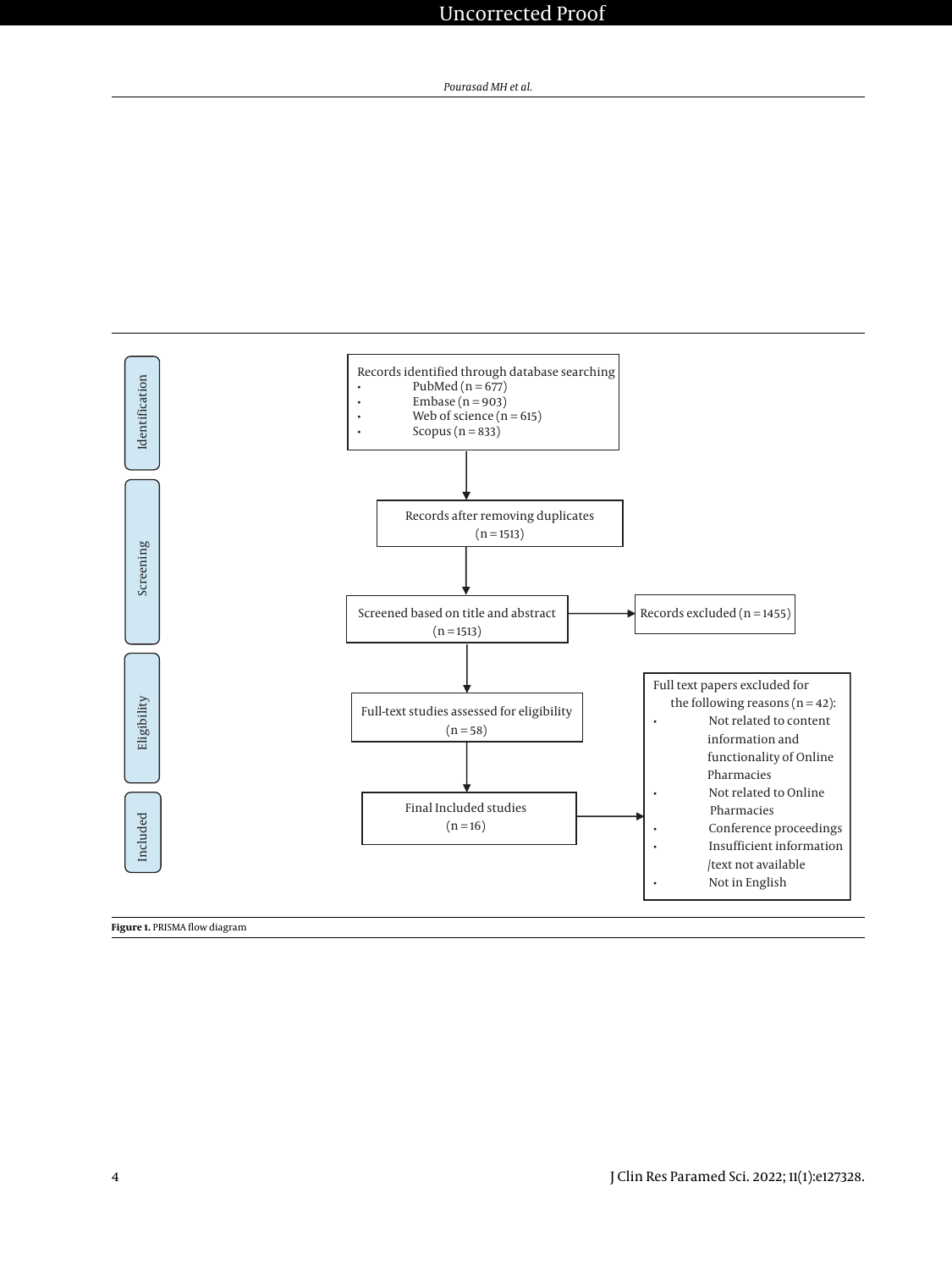<span id="page-3-0"></span>

**Figure 1.** PRISMA flow diagram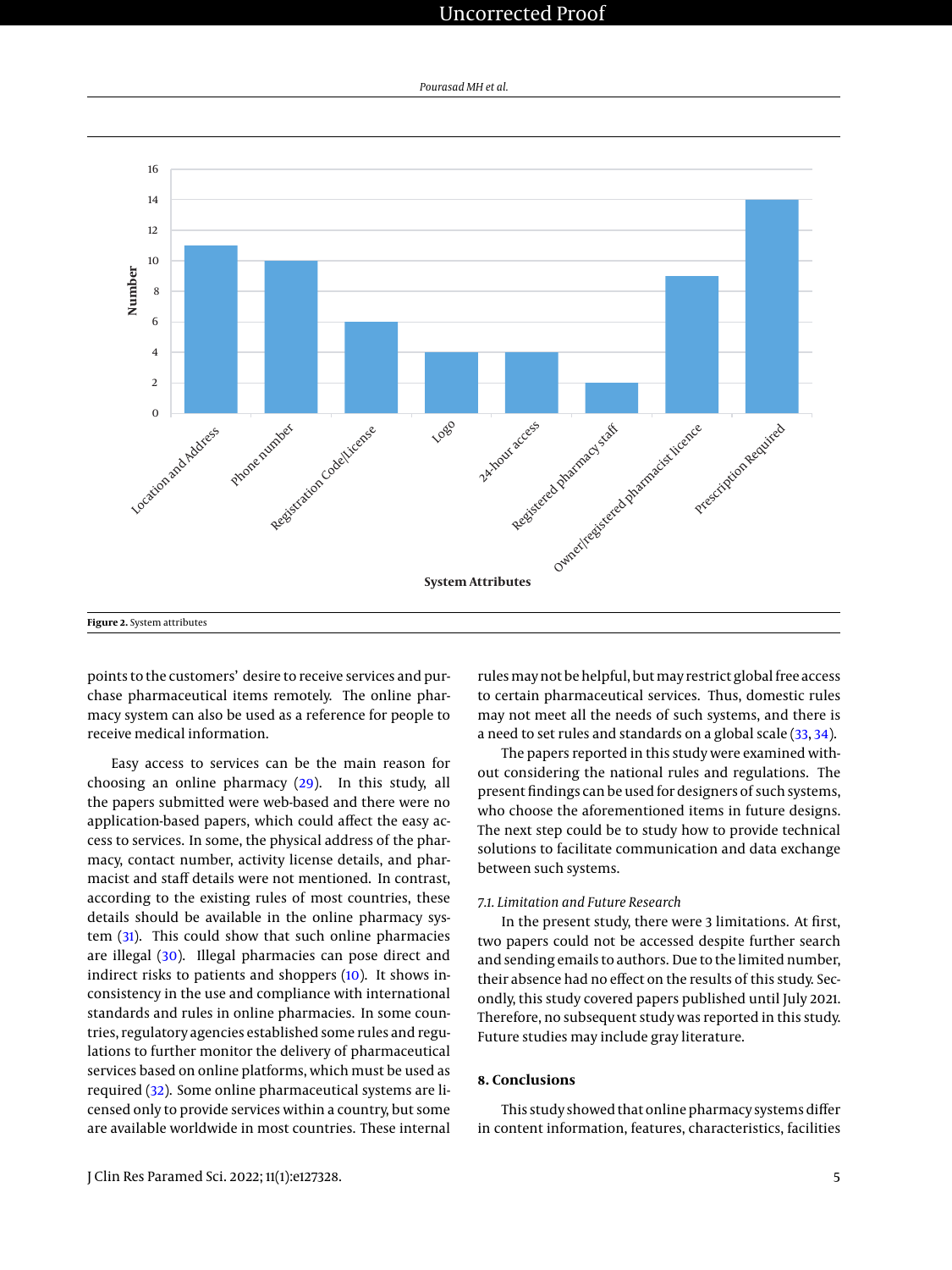# Uncorrected Proof

<span id="page-4-0"></span>

*Pourasad MH et al.*

points to the customers' desire to receive services and purchase pharmaceutical items remotely. The online pharmacy system can also be used as a reference for people to receive medical information.

Easy access to services can be the main reason for choosing an online pharmacy [\(29\)](#page-6-22). In this study, all the papers submitted were web-based and there were no application-based papers, which could affect the easy access to services. In some, the physical address of the pharmacy, contact number, activity license details, and pharmacist and staff details were not mentioned. In contrast, according to the existing rules of most countries, these details should be available in the online pharmacy system [\(31\)](#page-6-23). This could show that such online pharmacies are illegal [\(30\)](#page-6-20). Illegal pharmacies can pose direct and indirect risks to patients and shoppers [\(10\)](#page-6-4). It shows inconsistency in the use and compliance with international standards and rules in online pharmacies. In some countries, regulatory agencies established some rules and regulations to further monitor the delivery of pharmaceutical services based on online platforms, which must be used as required [\(32\)](#page-6-24). Some online pharmaceutical systems are licensed only to provide services within a country, but some are available worldwide in most countries. These internal

rules may not be helpful, but may restrict global free access to certain pharmaceutical services. Thus, domestic rules may not meet all the needs of such systems, and there is a need to set rules and standards on a global scale [\(33,](#page-6-25) [34\)](#page-6-26).

The papers reported in this study were examined without considering the national rules and regulations. The present findings can be used for designers of such systems, who choose the aforementioned items in future designs. The next step could be to study how to provide technical solutions to facilitate communication and data exchange between such systems.

# *7.1. Limitation and Future Research*

In the present study, there were 3 limitations. At first, two papers could not be accessed despite further search and sending emails to authors. Due to the limited number, their absence had no effect on the results of this study. Secondly, this study covered papers published until July 2021. Therefore, no subsequent study was reported in this study. Future studies may include gray literature.

# **8. Conclusions**

This study showed that online pharmacy systems differ in content information, features, characteristics, facilities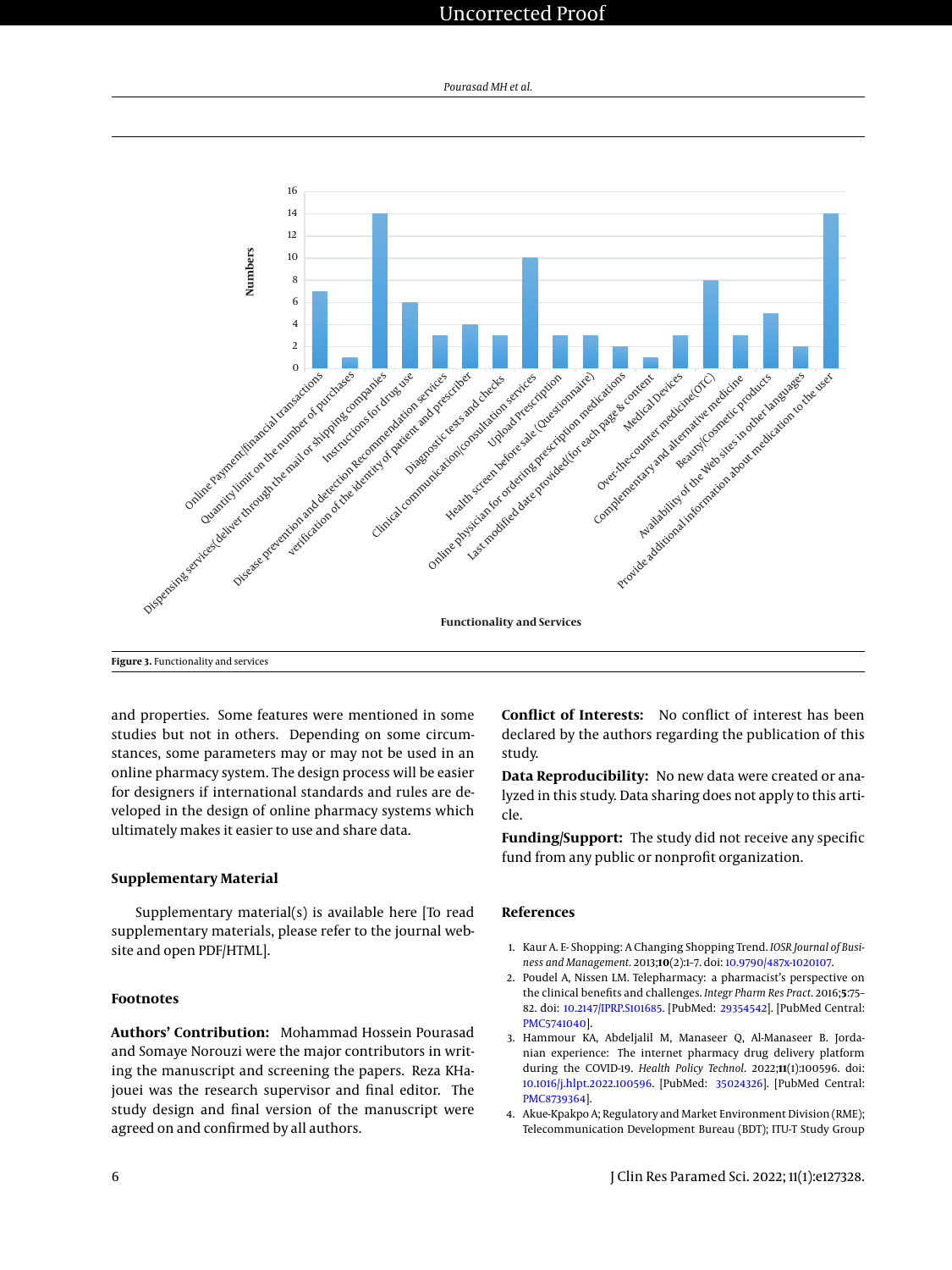# Uncorrected Proof

*Pourasad MH et al.*

<span id="page-5-4"></span>

and properties. Some features were mentioned in some studies but not in others. Depending on some circumstances, some parameters may or may not be used in an online pharmacy system. The design process will be easier for designers if international standards and rules are developed in the design of online pharmacy systems which ultimately makes it easier to use and share data.

# **Supplementary Material**

Supplementary material(s) is available here [To read supplementary materials, please refer to the journal website and open PDF/HTML].

# **Footnotes**

**Authors' Contribution:** Mohammad Hossein Pourasad and Somaye Norouzi were the major contributors in writing the manuscript and screening the papers. Reza KHajouei was the research supervisor and final editor. The study design and final version of the manuscript were agreed on and confirmed by all authors.

**Conflict of Interests:** No conflict of interest has been declared by the authors regarding the publication of this study.

**Data Reproducibility:** No new data were created or analyzed in this study. Data sharing does not apply to this article.

**Funding/Support:** The study did not receive any specific fund from any public or nonprofit organization.

# **References**

- <span id="page-5-0"></span>1. Kaur A. E- Shopping: A Changing Shopping Trend. *IOSR Journal of Business and Management*. 2013;**10**(2):1–7. doi: [10.9790/487x-1020107.](http://dx.doi.org/10.9790/487x-1020107)
- <span id="page-5-1"></span>2. Poudel A, Nissen LM. Telepharmacy: a pharmacist's perspective on the clinical benefits and challenges. *Integr Pharm Res Pract*. 2016;**5**:75– 82. doi: [10.2147/IPRP.S101685.](http://dx.doi.org/10.2147/IPRP.S101685) [PubMed: [29354542\]](http://www.ncbi.nlm.nih.gov/pubmed/29354542). [PubMed Central: [PMC5741040\]](https://www.ncbi.nlm.nih.gov/pmc/articles/PMC5741040).
- <span id="page-5-2"></span>3. Hammour KA, Abdeljalil M, Manaseer Q, Al-Manaseer B. Jordanian experience: The internet pharmacy drug delivery platform during the COVID-19. *Health Policy Technol*. 2022;**11**(1):100596. doi: [10.1016/j.hlpt.2022.100596.](http://dx.doi.org/10.1016/j.hlpt.2022.100596) [PubMed: [35024326\]](http://www.ncbi.nlm.nih.gov/pubmed/35024326). [PubMed Central: [PMC8739364\]](https://www.ncbi.nlm.nih.gov/pmc/articles/PMC8739364).
- <span id="page-5-3"></span>4. Akue-Kpakpo A; Regulatory and Market Environment Division (RME); Telecommunication Development Bureau (BDT); ITU-T Study Group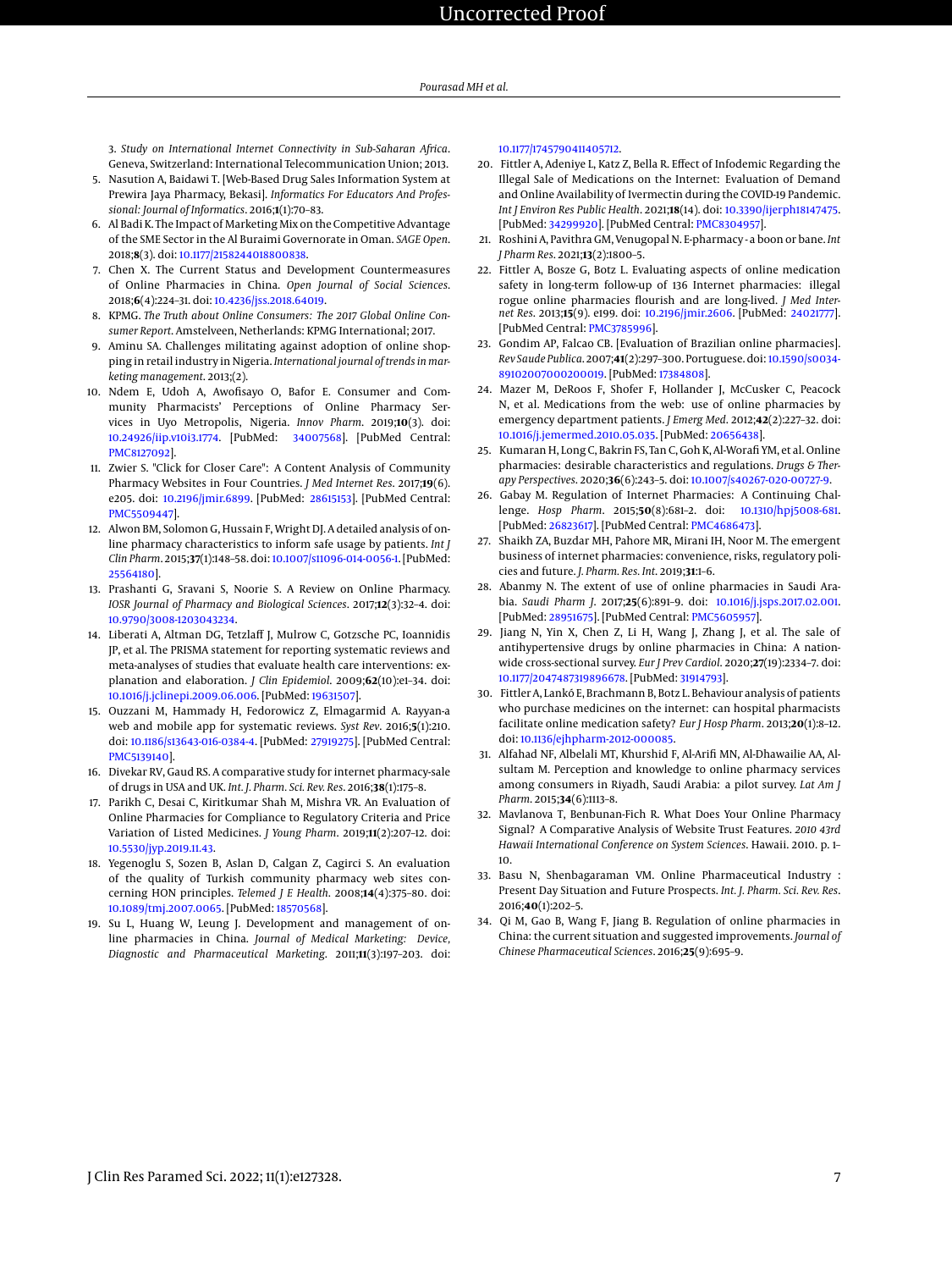# Uncorrected Proof

3. *Study on International Internet Connectivity in Sub-Saharan Africa*. Geneva, Switzerland: International Telecommunication Union; 2013.

- <span id="page-6-0"></span>5. Nasution A, Baidawi T. [Web-Based Drug Sales Information System at Prewira Jaya Pharmacy, Bekasi]. *Informatics For Educators And Professional: Journal of Informatics*. 2016;**1**(1):70–83.
- <span id="page-6-1"></span>6. Al Badi K. The Impact of Marketing Mix on the Competitive Advantage of the SME Sector in the Al Buraimi Governorate in Oman. *SAGE Open*. 2018;**8**(3). doi: [10.1177/2158244018800838.](http://dx.doi.org/10.1177/2158244018800838)
- <span id="page-6-2"></span>7. Chen X. The Current Status and Development Countermeasures of Online Pharmacies in China. *Open Journal of Social Sciences*. 2018;**6**(4):224–31. doi: [10.4236/jss.2018.64019.](http://dx.doi.org/10.4236/jss.2018.64019)
- 8. KPMG. *The Truth about Online Consumers: The 2017 Global Online Consumer Report*. Amstelveen, Netherlands: KPMG International; 2017.
- <span id="page-6-3"></span>9. Aminu SA. Challenges militating against adoption of online shopping in retail industry in Nigeria. *International journal of trends in marketing management*. 2013;(2).
- <span id="page-6-4"></span>10. Ndem E, Udoh A, Awofisayo O, Bafor E. Consumer and Community Pharmacists' Perceptions of Online Pharmacy Services in Uyo Metropolis, Nigeria. *Innov Pharm*. 2019;**10**(3). doi: [10.24926/iip.v10i3.1774.](http://dx.doi.org/10.24926/iip.v10i3.1774) [PubMed: [34007568\]](http://www.ncbi.nlm.nih.gov/pubmed/34007568). [PubMed Central: [PMC8127092\]](https://www.ncbi.nlm.nih.gov/pmc/articles/PMC8127092).
- <span id="page-6-5"></span>11. Zwier S. "Click for Closer Care": A Content Analysis of Community Pharmacy Websites in Four Countries. *J Med Internet Res*. 2017;**19**(6). e205. doi: [10.2196/jmir.6899.](http://dx.doi.org/10.2196/jmir.6899) [PubMed: [28615153\]](http://www.ncbi.nlm.nih.gov/pubmed/28615153). [PubMed Central: [PMC5509447\]](https://www.ncbi.nlm.nih.gov/pmc/articles/PMC5509447).
- <span id="page-6-6"></span>12. Alwon BM, Solomon G, Hussain F, Wright DJ. A detailed analysis of online pharmacy characteristics to inform safe usage by patients. *Int J Clin Pharm*. 2015;**37**(1):148–58. doi: [10.1007/s11096-014-0056-1.](http://dx.doi.org/10.1007/s11096-014-0056-1) [PubMed: [25564180\]](http://www.ncbi.nlm.nih.gov/pubmed/25564180).
- <span id="page-6-7"></span>13. Prashanti G, Sravani S, Noorie S. A Review on Online Pharmacy. *IOSR Journal of Pharmacy and Biological Sciences*. 2017;**12**(3):32–4. doi: [10.9790/3008-1203043234.](http://dx.doi.org/10.9790/3008-1203043234)
- <span id="page-6-8"></span>14. Liberati A, Altman DG, Tetzlaff J, Mulrow C, Gotzsche PC, Ioannidis JP, et al. The PRISMA statement for reporting systematic reviews and meta-analyses of studies that evaluate health care interventions: explanation and elaboration. *J Clin Epidemiol*. 2009;**62**(10):e1–34. doi: [10.1016/j.jclinepi.2009.06.006.](http://dx.doi.org/10.1016/j.jclinepi.2009.06.006) [PubMed: [19631507\]](http://www.ncbi.nlm.nih.gov/pubmed/19631507).
- <span id="page-6-9"></span>15. Ouzzani M, Hammady H, Fedorowicz Z, Elmagarmid A. Rayyan-a web and mobile app for systematic reviews. *Syst Rev*. 2016;**5**(1):210. doi: [10.1186/s13643-016-0384-4.](http://dx.doi.org/10.1186/s13643-016-0384-4) [PubMed: [27919275\]](http://www.ncbi.nlm.nih.gov/pubmed/27919275). [PubMed Central: [PMC5139140\]](https://www.ncbi.nlm.nih.gov/pmc/articles/PMC5139140).
- <span id="page-6-10"></span>16. Divekar RV, Gaud RS. A comparative study for internet pharmacy-sale of drugs in USA and UK. *Int. J. Pharm. Sci. Rev. Res*. 2016;**38**(1):175–8.
- <span id="page-6-16"></span>17. Parikh C, Desai C, Kiritkumar Shah M, Mishra VR. An Evaluation of Online Pharmacies for Compliance to Regulatory Criteria and Price Variation of Listed Medicines. *J Young Pharm*. 2019;**11**(2):207–12. doi: [10.5530/jyp.2019.11.43.](http://dx.doi.org/10.5530/jyp.2019.11.43)
- <span id="page-6-11"></span>18. Yegenoglu S, Sozen B, Aslan D, Calgan Z, Cagirci S. An evaluation of the quality of Turkish community pharmacy web sites concerning HON principles. *Telemed J E Health*. 2008;**14**(4):375–80. doi: [10.1089/tmj.2007.0065.](http://dx.doi.org/10.1089/tmj.2007.0065) [PubMed: [18570568\]](http://www.ncbi.nlm.nih.gov/pubmed/18570568).
- <span id="page-6-12"></span>19. Su L, Huang W, Leung J. Development and management of online pharmacies in China. *Journal of Medical Marketing: Device, Diagnostic and Pharmaceutical Marketing*. 2011;**11**(3):197–203. doi:

#### [10.1177/1745790411405712.](http://dx.doi.org/10.1177/1745790411405712)

- <span id="page-6-15"></span>20. Fittler A, Adeniye L, Katz Z, Bella R. Effect of Infodemic Regarding the Illegal Sale of Medications on the Internet: Evaluation of Demand and Online Availability of Ivermectin during the COVID-19 Pandemic. *Int J Environ Res Public Health*. 2021;**18**(14). doi: [10.3390/ijerph18147475.](http://dx.doi.org/10.3390/ijerph18147475) [PubMed: [34299920\]](http://www.ncbi.nlm.nih.gov/pubmed/34299920). [PubMed Central: [PMC8304957\]](https://www.ncbi.nlm.nih.gov/pmc/articles/PMC8304957).
- <span id="page-6-18"></span>21. Roshini A, Pavithra GM, Venugopal N. E-pharmacy - a boon or bane. *Int J Pharm Res*. 2021;**13**(2):1800–5.
- <span id="page-6-27"></span>22. Fittler A, Bosze G, Botz L. Evaluating aspects of online medication safety in long-term follow-up of 136 Internet pharmacies: illegal rogue online pharmacies flourish and are long-lived. *J Med Internet Res*. 2013;**15**(9). e199. doi: [10.2196/jmir.2606.](http://dx.doi.org/10.2196/jmir.2606) [PubMed: [24021777\]](http://www.ncbi.nlm.nih.gov/pubmed/24021777). [PubMed Central: [PMC3785996\]](https://www.ncbi.nlm.nih.gov/pmc/articles/PMC3785996).
- <span id="page-6-28"></span>23. Gondim AP, Falcao CB. [Evaluation of Brazilian online pharmacies]. *Rev Saude Publica*. 2007;**41**(2):297–300. Portuguese. doi: [10.1590/s0034-](http://dx.doi.org/10.1590/s0034-89102007000200019) [89102007000200019.](http://dx.doi.org/10.1590/s0034-89102007000200019) [PubMed: [17384808\]](http://www.ncbi.nlm.nih.gov/pubmed/17384808).
- <span id="page-6-13"></span>24. Mazer M, DeRoos F, Shofer F, Hollander J, McCusker C, Peacock N, et al. Medications from the web: use of online pharmacies by emergency department patients. *J Emerg Med*. 2012;**42**(2):227–32. doi: [10.1016/j.jemermed.2010.05.035.](http://dx.doi.org/10.1016/j.jemermed.2010.05.035) [PubMed: [20656438\]](http://www.ncbi.nlm.nih.gov/pubmed/20656438).
- <span id="page-6-19"></span>25. Kumaran H, Long C, Bakrin FS, Tan C, Goh K, Al-Worafi YM, et al. Online pharmacies: desirable characteristics and regulations. *Drugs & Therapy Perspectives*. 2020;**36**(6):243–5. doi: [10.1007/s40267-020-00727-9.](http://dx.doi.org/10.1007/s40267-020-00727-9)
- <span id="page-6-21"></span>26. Gabay M. Regulation of Internet Pharmacies: A Continuing Challenge. *Hosp Pharm*. 2015;**50**(8):681–2. doi: [10.1310/hpj5008-681.](http://dx.doi.org/10.1310/hpj5008-681) [PubMed: [26823617\]](http://www.ncbi.nlm.nih.gov/pubmed/26823617). [PubMed Central: [PMC4686473\]](https://www.ncbi.nlm.nih.gov/pmc/articles/PMC4686473).
- <span id="page-6-17"></span>27. Shaikh ZA, Buzdar MH, Pahore MR, Mirani IH, Noor M. The emergent business of internet pharmacies: convenience, risks, regulatory policies and future. *J. Pharm. Res. Int*. 2019;**31**:1–6.
- <span id="page-6-14"></span>28. Abanmy N. The extent of use of online pharmacies in Saudi Arabia. *Saudi Pharm J*. 2017;**25**(6):891–9. doi: [10.1016/j.jsps.2017.02.001.](http://dx.doi.org/10.1016/j.jsps.2017.02.001) [PubMed: [28951675\]](http://www.ncbi.nlm.nih.gov/pubmed/28951675). [PubMed Central: [PMC5605957\]](https://www.ncbi.nlm.nih.gov/pmc/articles/PMC5605957).
- <span id="page-6-22"></span>29. Jiang N, Yin X, Chen Z, Li H, Wang J, Zhang J, et al. The sale of antihypertensive drugs by online pharmacies in China: A nationwide cross-sectional survey. *Eur J Prev Cardiol*. 2020;**27**(19):2334–7. doi: [10.1177/2047487319896678.](http://dx.doi.org/10.1177/2047487319896678) [PubMed: [31914793\]](http://www.ncbi.nlm.nih.gov/pubmed/31914793).
- <span id="page-6-20"></span>30. Fittler A, Lankó E, Brachmann B, Botz L. Behaviour analysis of patients who purchase medicines on the internet: can hospital pharmacists facilitate online medication safety? *Eur J Hosp Pharm*. 2013;**20**(1):8–12. doi: [10.1136/ejhpharm-2012-000085.](http://dx.doi.org/10.1136/ejhpharm-2012-000085)
- <span id="page-6-23"></span>31. Alfahad NF, Albelali MT, Khurshid F, Al-Arifi MN, Al-Dhawailie AA, Alsultam M. Perception and knowledge to online pharmacy services among consumers in Riyadh, Saudi Arabia: a pilot survey. *Lat Am J Pharm*. 2015;**34**(6):1113–8.
- <span id="page-6-24"></span>32. Mavlanova T, Benbunan-Fich R. What Does Your Online Pharmacy Signal? A Comparative Analysis of Website Trust Features. *2010 43rd Hawaii International Conference on System Sciences*. Hawaii. 2010. p. 1– 10.
- <span id="page-6-25"></span>33. Basu N, Shenbagaraman VM. Online Pharmaceutical Industry : Present Day Situation and Future Prospects. *Int. J. Pharm. Sci. Rev. Res*. 2016;**40**(1):202–5.
- <span id="page-6-26"></span>34. Qi M, Gao B, Wang F, Jiang B. Regulation of online pharmacies in China: the current situation and suggested improvements. *Journal of Chinese Pharmaceutical Sciences*. 2016;**25**(9):695–9.